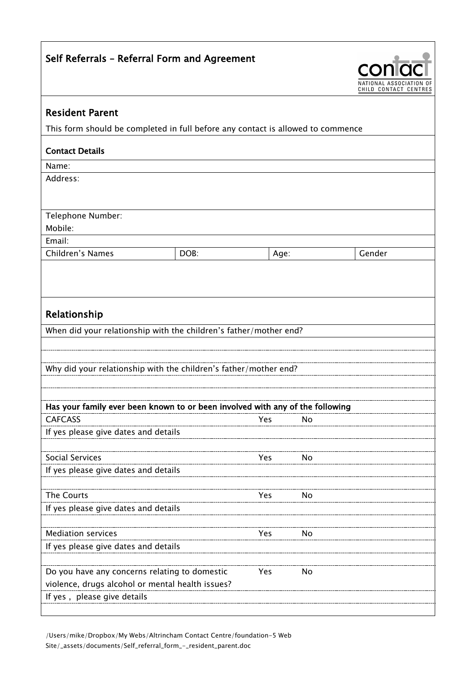| Self Referrals - Referral Form and Agreement                                                                   | NATIONAL ASSOCIAT |      |    |                       |
|----------------------------------------------------------------------------------------------------------------|-------------------|------|----|-----------------------|
|                                                                                                                |                   |      |    | CHILD CONTACT CENTRES |
| <b>Resident Parent</b>                                                                                         |                   |      |    |                       |
| This form should be completed in full before any contact is allowed to commence                                |                   |      |    |                       |
| <b>Contact Details</b>                                                                                         |                   |      |    |                       |
| Name:                                                                                                          |                   |      |    |                       |
| Address:                                                                                                       |                   |      |    |                       |
| Telephone Number:                                                                                              |                   |      |    |                       |
| Mobile:                                                                                                        |                   |      |    |                       |
| Email:                                                                                                         |                   |      |    |                       |
| Children's Names                                                                                               | DOB:              | Age: |    | Gender                |
|                                                                                                                |                   |      |    |                       |
| Relationship                                                                                                   |                   |      |    |                       |
| When did your relationship with the children's father/mother end?                                              |                   |      |    |                       |
|                                                                                                                |                   |      |    |                       |
|                                                                                                                |                   |      |    |                       |
| Why did your relationship with the children's father/mother end?                                               |                   |      |    |                       |
|                                                                                                                |                   |      |    |                       |
| Has your family ever been known to or been involved with any of the following                                  |                   |      |    |                       |
| <b>CAFCASS</b>                                                                                                 |                   | Yes  | No |                       |
| If yes please give dates and details                                                                           |                   |      |    |                       |
|                                                                                                                |                   |      |    |                       |
| <b>Social Services</b>                                                                                         |                   | Yes  | No |                       |
| If yes please give dates and details                                                                           |                   |      |    |                       |
|                                                                                                                |                   |      |    |                       |
| The Courts                                                                                                     |                   | Yes  | No |                       |
| If yes please give dates and details                                                                           |                   |      |    |                       |
|                                                                                                                |                   |      |    |                       |
| <b>Mediation services</b>                                                                                      |                   | Yes  | No |                       |
| If yes please give dates and details                                                                           |                   |      |    |                       |
|                                                                                                                |                   |      |    |                       |
| Do you have any concerns relating to domestic<br>Yes<br>No<br>violence, drugs alcohol or mental health issues? |                   |      |    |                       |
| If yes, please give details                                                                                    |                   |      |    |                       |
|                                                                                                                |                   |      |    |                       |

/Users/mike/Dropbox/My Webs/Altrincham Contact Centre/foundation-5 Web Site/\_assets/documents/Self\_referral\_form\_-\_resident\_parent.doc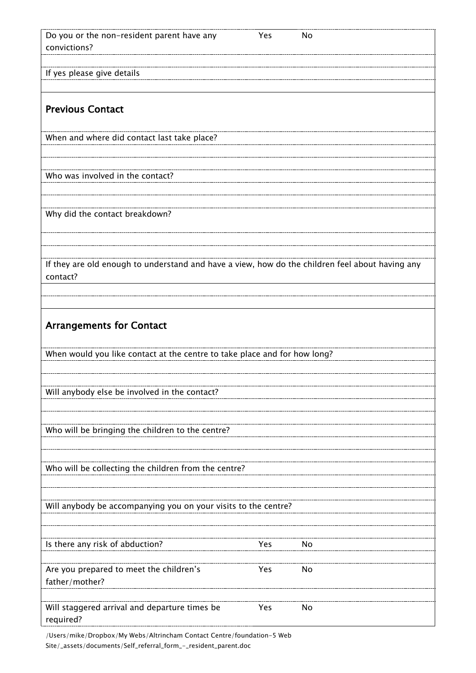| Do you or the non-resident parent have any<br>convictions?                                                  | Yes | No |
|-------------------------------------------------------------------------------------------------------------|-----|----|
| If yes please give details                                                                                  |     |    |
|                                                                                                             |     |    |
| <b>Previous Contact</b>                                                                                     |     |    |
| When and where did contact last take place?                                                                 |     |    |
| Who was involved in the contact?                                                                            |     |    |
|                                                                                                             |     |    |
| Why did the contact breakdown?                                                                              |     |    |
|                                                                                                             |     |    |
|                                                                                                             |     |    |
| If they are old enough to understand and have a view, how do the children feel about having any<br>contact? |     |    |
|                                                                                                             |     |    |
| <b>Arrangements for Contact</b>                                                                             |     |    |
|                                                                                                             |     |    |
| When would you like contact at the centre to take place and for how long?                                   |     |    |
|                                                                                                             |     |    |
| Will anybody else be involved in the contact?                                                               |     |    |
|                                                                                                             |     |    |
| Who will be bringing the children to the centre?                                                            |     |    |
|                                                                                                             |     |    |
| Who will be collecting the children from the centre?                                                        |     |    |
|                                                                                                             |     |    |
| Will anybody be accompanying you on your visits to the centre?                                              |     |    |
|                                                                                                             |     |    |
| Is there any risk of abduction?                                                                             | Yes | No |
|                                                                                                             |     |    |
| Are you prepared to meet the children's<br>father/mother?                                                   | Yes | No |
| Will staggered arrival and departure times be<br>required?                                                  | Yes | No |

/Users/mike/Dropbox/My Webs/Altrincham Contact Centre/foundation-5 Web Site/\_assets/documents/Self\_referral\_form\_-\_resident\_parent.doc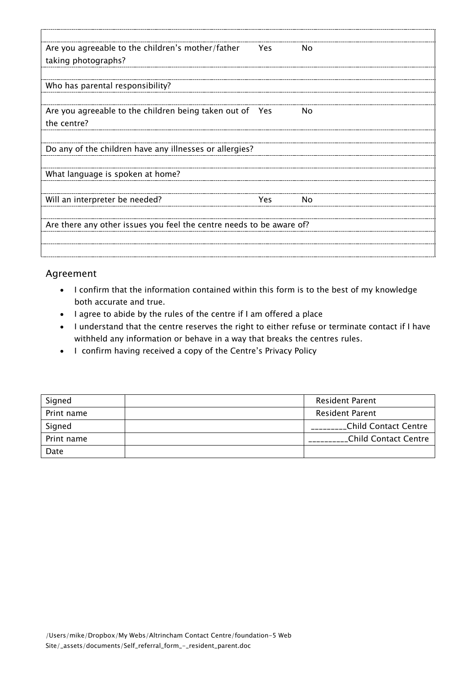| Are you agreeable to the children's mother/father                    | <b>Yes</b> | No. |  |  |
|----------------------------------------------------------------------|------------|-----|--|--|
| taking photographs?                                                  |            |     |  |  |
|                                                                      |            |     |  |  |
| Who has parental responsibility?                                     |            |     |  |  |
|                                                                      |            |     |  |  |
| Are you agreeable to the children being taken out of Yes             |            | No. |  |  |
| the centre?                                                          |            |     |  |  |
|                                                                      |            |     |  |  |
| Do any of the children have any illnesses or allergies?              |            |     |  |  |
|                                                                      |            |     |  |  |
| What language is spoken at home?                                     |            |     |  |  |
|                                                                      |            |     |  |  |
| Will an interpreter be needed?                                       | <b>Yes</b> | No  |  |  |
|                                                                      |            |     |  |  |
| Are there any other issues you feel the centre needs to be aware of? |            |     |  |  |
|                                                                      |            |     |  |  |
|                                                                      |            |     |  |  |

## Agreement

- I confirm that the information contained within this form is to the best of my knowledge both accurate and true.
- I agree to abide by the rules of the centre if I am offered a place
- I understand that the centre reserves the right to either refuse or terminate contact if I have withheld any information or behave in a way that breaks the centres rules.
- I confirm having received a copy of the Centre's Privacy Policy

| Signed     | <b>Resident Parent</b> |
|------------|------------------------|
| Print name | <b>Resident Parent</b> |
| Signed     | _Child Contact Centre  |
| Print name | Child Contact Centre   |
| Date       |                        |